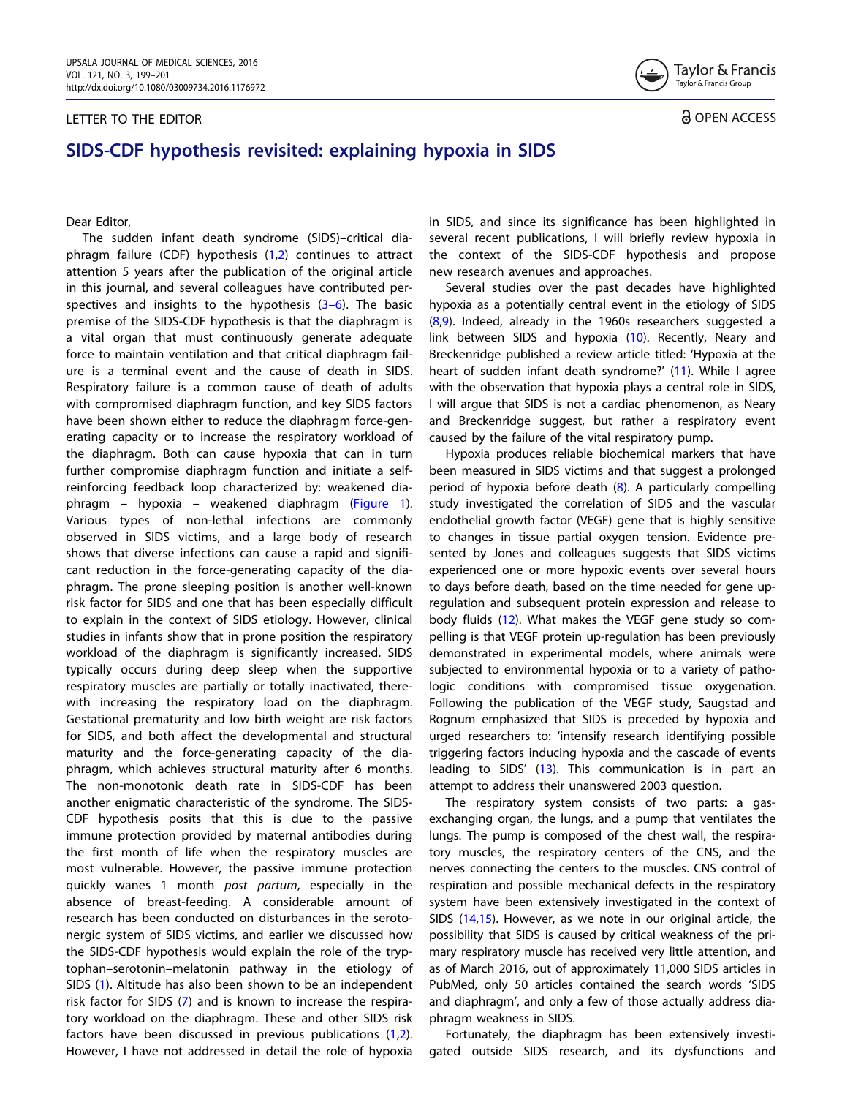## <span id="page-0-0"></span>LETTER TO THE EDITOR



a OPEN ACCESS

## SIDS-CDF hypothesis revisited: explaining hypoxia in SIDS

Dear Editor,

The sudden infant death syndrome (SIDS)–critical diaphragm failure (CDF) hypothesis [\(1,2](#page-2-0)) continues to attract attention 5 years after the publication of the original article in this journal, and several colleagues have contributed perspectives and insights to the hypothesis  $(3-6)$ . The basic premise of the SIDS-CDF hypothesis is that the diaphragm is a vital organ that must continuously generate adequate force to maintain ventilation and that critical diaphragm failure is a terminal event and the cause of death in SIDS. Respiratory failure is a common cause of death of adults with compromised diaphragm function, and key SIDS factors have been shown either to reduce the diaphragm force-generating capacity or to increase the respiratory workload of the diaphragm. Both can cause hypoxia that can in turn further compromise diaphragm function and initiate a selfreinforcing feedback loop characterized by: weakened diaphragm – hypoxia – weakened diaphragm ([Figure 1](#page-1-0)). Various types of non-lethal infections are commonly observed in SIDS victims, and a large body of research shows that diverse infections can cause a rapid and significant reduction in the force-generating capacity of the diaphragm. The prone sleeping position is another well-known risk factor for SIDS and one that has been especially difficult to explain in the context of SIDS etiology. However, clinical studies in infants show that in prone position the respiratory workload of the diaphragm is significantly increased. SIDS typically occurs during deep sleep when the supportive respiratory muscles are partially or totally inactivated, therewith increasing the respiratory load on the diaphragm. Gestational prematurity and low birth weight are risk factors for SIDS, and both affect the developmental and structural maturity and the force-generating capacity of the diaphragm, which achieves structural maturity after 6 months. The non-monotonic death rate in SIDS-CDF has been another enigmatic characteristic of the syndrome. The SIDS-CDF hypothesis posits that this is due to the passive immune protection provided by maternal antibodies during the first month of life when the respiratory muscles are most vulnerable. However, the passive immune protection quickly wanes 1 month post partum, especially in the absence of breast-feeding. A considerable amount of research has been conducted on disturbances in the serotonergic system of SIDS victims, and earlier we discussed how the SIDS-CDF hypothesis would explain the role of the tryptophan–serotonin–melatonin pathway in the etiology of SIDS ([1\)](#page-2-0). Altitude has also been shown to be an independent risk factor for SIDS ([7\)](#page-2-0) and is known to increase the respiratory workload on the diaphragm. These and other SIDS risk factors have been discussed in previous publications [\(1,2](#page-2-0)). However, I have not addressed in detail the role of hypoxia in SIDS, and since its significance has been highlighted in several recent publications, I will briefly review hypoxia in the context of the SIDS-CDF hypothesis and propose new research avenues and approaches.

Several studies over the past decades have highlighted hypoxia as a potentially central event in the etiology of SIDS  $(8,9)$ . Indeed, already in the 1960s researchers suggested a link between SIDS and hypoxia ([10\)](#page-2-0). Recently, Neary and Breckenridge published a review article titled: 'Hypoxia at the heart of sudden infant death syndrome?' ([11\)](#page-2-0). While I agree with the observation that hypoxia plays a central role in SIDS, I will argue that SIDS is not a cardiac phenomenon, as Neary and Breckenridge suggest, but rather a respiratory event caused by the failure of the vital respiratory pump.

Hypoxia produces reliable biochemical markers that have been measured in SIDS victims and that suggest a prolonged period of hypoxia before death ([8](#page-2-0)). A particularly compelling study investigated the correlation of SIDS and the vascular endothelial growth factor (VEGF) gene that is highly sensitive to changes in tissue partial oxygen tension. Evidence presented by Jones and colleagues suggests that SIDS victims experienced one or more hypoxic events over several hours to days before death, based on the time needed for gene upregulation and subsequent protein expression and release to body fluids [\(12\)](#page-2-0). What makes the VEGF gene study so compelling is that VEGF protein up-regulation has been previously demonstrated in experimental models, where animals were subjected to environmental hypoxia or to a variety of pathologic conditions with compromised tissue oxygenation. Following the publication of the VEGF study, Saugstad and Rognum emphasized that SIDS is preceded by hypoxia and urged researchers to: 'intensify research identifying possible triggering factors inducing hypoxia and the cascade of events leading to SIDS' ([13](#page-2-0)). This communication is in part an attempt to address their unanswered 2003 question.

The respiratory system consists of two parts: a gasexchanging organ, the lungs, and a pump that ventilates the lungs. The pump is composed of the chest wall, the respiratory muscles, the respiratory centers of the CNS, and the nerves connecting the centers to the muscles. CNS control of respiration and possible mechanical defects in the respiratory system have been extensively investigated in the context of SIDS [\(14,15](#page-2-0)). However, as we note in our original article, the possibility that SIDS is caused by critical weakness of the primary respiratory muscle has received very little attention, and as of March 2016, out of approximately 11,000 SIDS articles in PubMed, only 50 articles contained the search words 'SIDS and diaphragm', and only a few of those actually address diaphragm weakness in SIDS.

Fortunately, the diaphragm has been extensively investigated outside SIDS research, and its dysfunctions and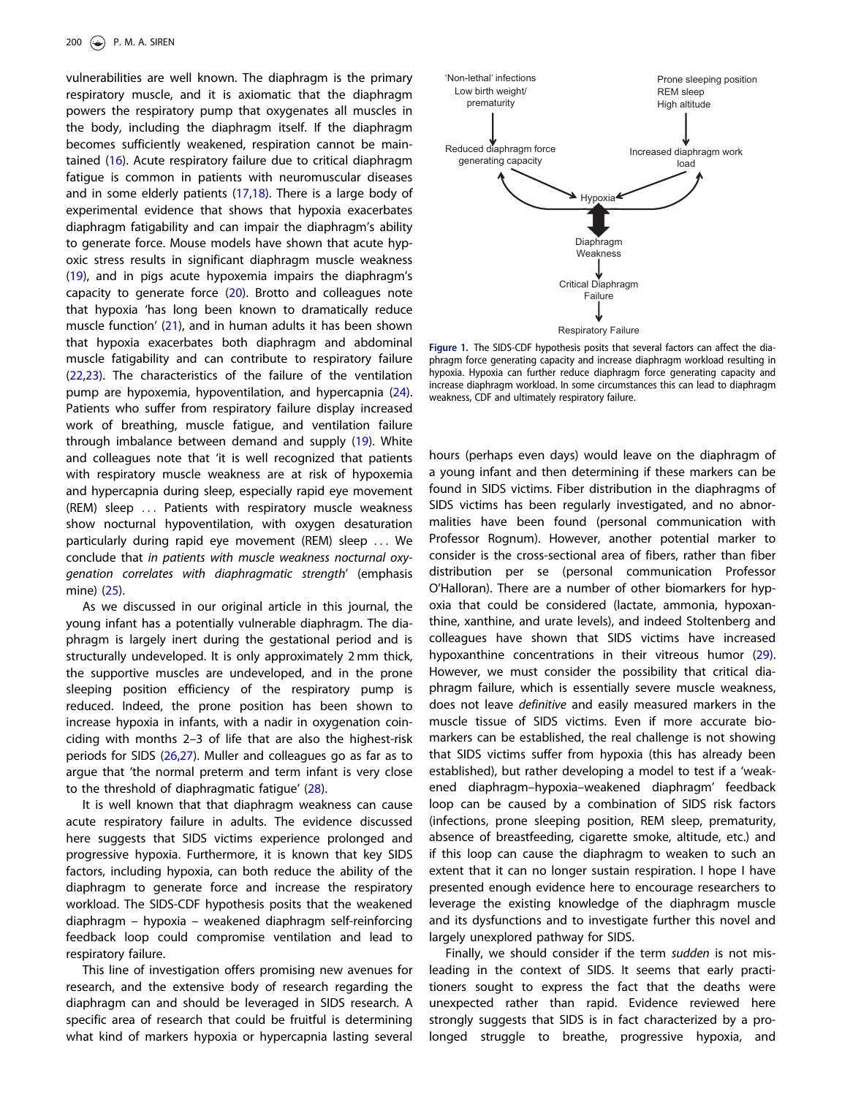<span id="page-1-0"></span>vulnerabilities are well known. The diaphragm is the primary respiratory muscle, and it is axiomatic that the diaphragm powers the respiratory pump that oxygenates all muscles in the body, including the diaphragm itself. If the diaphragm becomes sufficiently weakened, respiration cannot be maintained ([16\)](#page-2-0). Acute respiratory failure due to critical diaphragm fatigue is common in patients with neuromuscular diseases and in some elderly patients ([17,18](#page-2-0)). There is a large body of experimental evidence that shows that hypoxia exacerbates diaphragm fatigability and can impair the diaphragm's ability to generate force. Mouse models have shown that acute hypoxic stress results in significant diaphragm muscle weakness [\(19](#page-2-0)), and in pigs acute hypoxemia impairs the diaphragm's capacity to generate force ([20](#page-2-0)). Brotto and colleagues note that hypoxia 'has long been known to dramatically reduce muscle function' ([21](#page-2-0)), and in human adults it has been shown that hypoxia exacerbates both diaphragm and abdominal muscle fatigability and can contribute to respiratory failure [\(22,23\)](#page-2-0). The characteristics of the failure of the ventilation pump are hypoxemia, hypoventilation, and hypercapnia ([24](#page-2-0)). Patients who suffer from respiratory failure display increased work of breathing, muscle fatigue, and ventilation failure through imbalance between demand and supply [\(19\)](#page-2-0). White and colleagues note that 'it is well recognized that patients with respiratory muscle weakness are at risk of hypoxemia and hypercapnia during sleep, especially rapid eye movement (REM) sleep ... Patients with respiratory muscle weakness show nocturnal hypoventilation, with oxygen desaturation particularly during rapid eye movement (REM) sleep ... We conclude that in patients with muscle weakness nocturnal oxygenation correlates with diaphragmatic strength' (emphasis mine) [\(25\)](#page-2-0).

As we discussed in our original article in this journal, the young infant has a potentially vulnerable diaphragm. The diaphragm is largely inert during the gestational period and is structurally undeveloped. It is only approximately 2 mm thick, the supportive muscles are undeveloped, and in the prone sleeping position efficiency of the respiratory pump is reduced. Indeed, the prone position has been shown to increase hypoxia in infants, with a nadir in oxygenation coinciding with months 2–3 of life that are also the highest-risk periods for SIDS ([26,27\)](#page-2-0). Muller and colleagues go as far as to argue that 'the normal preterm and term infant is very close to the threshold of diaphragmatic fatigue' ([28](#page-2-0)).

It is well known that that diaphragm weakness can cause acute respiratory failure in adults. The evidence discussed here suggests that SIDS victims experience prolonged and progressive hypoxia. Furthermore, it is known that key SIDS factors, including hypoxia, can both reduce the ability of the diaphragm to generate force and increase the respiratory workload. The SIDS-CDF hypothesis posits that the weakened diaphragm – hypoxia – weakened diaphragm self-reinforcing feedback loop could compromise ventilation and lead to respiratory failure.

This line of investigation offers promising new avenues for research, and the extensive body of research regarding the diaphragm can and should be leveraged in SIDS research. A specific area of research that could be fruitful is determining what kind of markers hypoxia or hypercapnia lasting several



Figure 1. The SIDS-CDF hypothesis posits that several factors can affect the diaphragm force generating capacity and increase diaphragm workload resulting in hypoxia. Hypoxia can further reduce diaphragm force generating capacity and increase diaphragm workload. In some circumstances this can lead to diaphragm weakness, CDF and ultimately respiratory failure.

hours (perhaps even days) would leave on the diaphragm of a young infant and then determining if these markers can be found in SIDS victims. Fiber distribution in the diaphragms of SIDS victims has been regularly investigated, and no abnormalities have been found (personal communication with Professor Rognum). However, another potential marker to consider is the cross-sectional area of fibers, rather than fiber distribution per se (personal communication Professor O'Halloran). There are a number of other biomarkers for hypoxia that could be considered (lactate, ammonia, hypoxanthine, xanthine, and urate levels), and indeed Stoltenberg and colleagues have shown that SIDS victims have increased hypoxanthine concentrations in their vitreous humor [\(29](#page-2-0)). However, we must consider the possibility that critical diaphragm failure, which is essentially severe muscle weakness, does not leave definitive and easily measured markers in the muscle tissue of SIDS victims. Even if more accurate biomarkers can be established, the real challenge is not showing that SIDS victims suffer from hypoxia (this has already been established), but rather developing a model to test if a 'weakened diaphragm–hypoxia–weakened diaphragm' feedback loop can be caused by a combination of SIDS risk factors (infections, prone sleeping position, REM sleep, prematurity, absence of breastfeeding, cigarette smoke, altitude, etc.) and if this loop can cause the diaphragm to weaken to such an extent that it can no longer sustain respiration. I hope I have presented enough evidence here to encourage researchers to leverage the existing knowledge of the diaphragm muscle and its dysfunctions and to investigate further this novel and largely unexplored pathway for SIDS.

Finally, we should consider if the term sudden is not misleading in the context of SIDS. It seems that early practitioners sought to express the fact that the deaths were unexpected rather than rapid. Evidence reviewed here strongly suggests that SIDS is in fact characterized by a prolonged struggle to breathe, progressive hypoxia, and